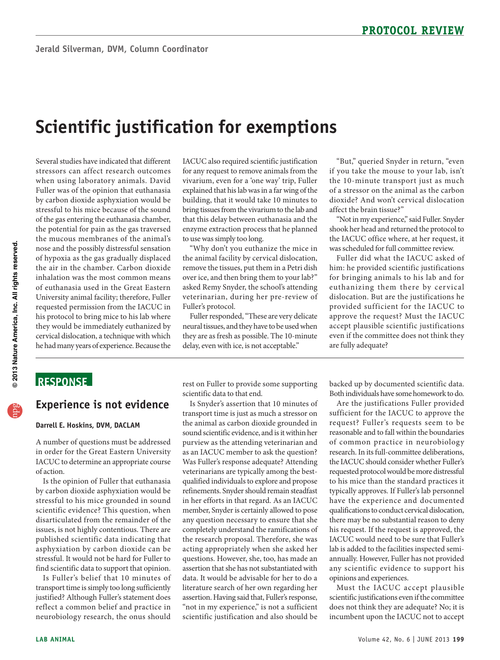# **Scientific justification for exemptions**

 Several studies have indicated that different University animal facility; therefore, Fuller cervical dislocation, a technique with which stressors can affect research outcomes when using laboratory animals. David Fuller was of the opinion that euthanasia by carbon dioxide asphyxiation would be stressful to his mice because of the sound of the gas entering the euthanasia chamber, the potential for pain as the gas traversed the mucous membranes of the animal's nose and the possibly distressful sensation of hypoxia as the gas gradually displaced the air in the chamber. Carbon dioxide inhalation was the most common means of euthanasia used in the Great Eastern requested permission from the IACUC in his protocol to bring mice to his lab where they would be immediately euthanized by he had many years of experience. Because the

 IACUC also required scientific justification for any request to remove animals from the vivarium, even for a 'one way' trip, Fuller explained that his lab was in a far wing of the building, that it would take 10 minutes to bring tissues from the vivarium to the lab and that this delay between euthanasia and the enzyme extraction process that he planned to use was simply too long.

 asked Remy Snyder, the school's attending "Why don't you euthanize the mice in the animal facility by cervical dislocation, remove the tissues, put them in a Petri dish over ice, and then bring them to your lab?" veterinarian, during her pre-review of Fuller's protocol.

 Fuller responded, "These are very delicate neural tissues, and they have to be used when they are as fresh as possible. The 10-minute delay, even with ice, is not acceptable."

"But," queried Snyder in return, "even if you take the mouse to your lab, isn't the 10-minute transport just as much of a stressor on the animal as the carbon dioxide? And won't cervical dislocation affect the brain tissue?"

"Not in my experience," said Fuller. Snyder shook her head and returned the protocol to the IACUC office where, at her request, it was scheduled for full committee review.

euthanizing them there by cervical Fuller did what the IACUC asked of him: he provided scientific justifications for bringing animals to his lab and for dislocation. But are the justifications he provided sufficient for the IACUC to approve the request? Must the IACUC accept plausible scientific justifications even if the committee does not think they are fully adequate?

# **ReSponSe**

### **experience is not evidence**

#### **Darrell e. Hoskins, DVM, DACLAM**

A number of questions must be addressed in order for the Great Eastern University IACUC to determine an appropriate course of action.

Is the opinion of Fuller that euthanasia by carbon dioxide asphyxiation would be stressful to his mice grounded in sound scientific evidence? This question, when disarticulated from the remainder of the issues, is not highly contentious. There are published scientific data indicating that asphyxiation by carbon dioxide can be stressful. It would not be hard for Fuller to find scientific data to support that opinion.

 transport time is simply too long sufficiently justified? Although Fuller's statement does Is Fuller's belief that 10 minutes of reflect a common belief and practice in neurobiology research, the onus should

 rest on Fuller to provide some supporting scientific data to that end.

 transport time is just as much a stressor on as an IACUC member to ask the question? any question necessary to ensure that she acting appropriately when she asked her scientific justification and also should be Is Snyder's assertion that 10 minutes of the animal as carbon dioxide grounded in sound scientific evidence, and is it within her purview as the attending veterinarian and Was Fuller's response adequate? Attending veterinarians are typically among the bestqualified individuals to explore and propose refinements. Snyder should remain steadfast in her efforts in that regard. As an IACUC member, Snyder is certainly allowed to pose completely understand the ramifications of the research proposal. Therefore, she was questions. However, she, too, has made an assertion that she has not substantiated with data. It would be advisable for her to do a literature search of her own regarding her assertion. Having said that, Fuller's response, "not in my experience," is not a sufficient

backed up by documented scientific data. Both individuals have some homework to do.

 Are the justifications Fuller provided reasonable and to fall within the boundaries requested protocol would be more distressful typically approves. If Fuller's lab personnel have the experience and documented qualifications to conduct cervical dislocation, annually. However, Fuller has not provided any scientific evidence to support his sufficient for the IACUC to approve the request? Fuller's requests seem to be of common practice in neurobiology research. In its full-committee deliberations, the IACUC should consider whether Fuller's to his mice than the standard practices it there may be no substantial reason to deny his request. If the request is approved, the IACUC would need to be sure that Fuller's lab is added to the facilities inspected semiopinions and experiences.

Must the IACUC accept plausible scientific justifications even if the committee does not think they are adequate? No; it is incumbent upon the IACUC not to accept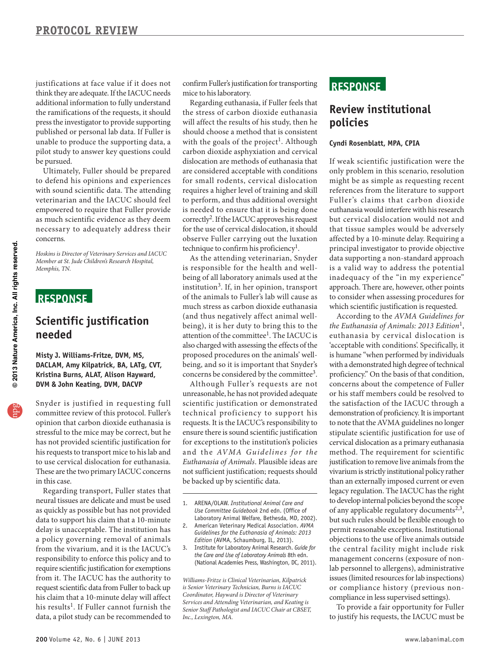think they are adequate. If the IACUC needs press the investigator to provide supporting justifications at face value if it does not additional information to fully understand the ramifications of the requests, it should published or personal lab data. If Fuller is unable to produce the supporting data, a pilot study to answer key questions could be pursued.

 with sound scientific data. The attending empowered to require that Fuller provide Ultimately, Fuller should be prepared to defend his opinions and experiences veterinarian and the IACUC should feel as much scientific evidence as they deem necessary to adequately address their concerns.

*Hoskins is Director of Veterinary Services and IACUC Member at St. Jude Children's Research Hospital, Memphis, TN.* 

# **ReSponSe**

## **Scientific justification needed**

#### **Misty J. Williams-Fritze, DVM, MS, DACLAM, Amy Kilpatrick, BA, LATg, CVT, Kristina Burns, ALAT, Alison Hayward, DVM & John Keating, DVM, DACVp**

 to use cer vical dislocation for euthanasia. These are the two primary IACUC concerns Snyder is justified in requesting full committee review of this protocol. Fuller's opinion that carbon dioxide euthanasia is stressful to the mice may be correct, but he has not provided scientific justification for his requests to transport mice to his lab and in this case.

 data to support his claim that a 10-minute require scientific justification for exemptions Regarding transport, Fuller states that neural tissues are delicate and must be used as quickly as possible but has not provided delay is unacceptable. The institution has a policy governing removal of animals from the vivarium, and it is the IACUC's responsibility to enforce this policy and to from it. The IACUC has the authority to request scientific data from Fuller to back up his claim that a 10-minute delay will affect his results<sup>1</sup>. If Fuller cannot furnish the data, a pilot study can be recommended to

 confirm Fuller's justification for transporting mice to his laboratory.

 carbon dioxide asphyxiation and cervical are considered acceptable with conditions to perform, and thus additional oversight observe Fuller carrying out the luxation Regarding euthanasia, if Fuller feels that the stress of carbon dioxide euthanasia will affect the results of his study, then he should choose a method that is consistent with the goals of the project<sup>1</sup>. Although dislocation are methods of euthanasia that for small rodents, cervical dislocation requires a higher level of training and skill is needed to ensure that it is being done correctly2. If the IACUC approves his request for the use of cervical dislocation, it should technique to confirm his proficiency<sup>1</sup>.

attention of the committee<sup>1</sup>. The IACUC is As the attending veterinarian, Snyder is responsible for the health and wellbeing of all laboratory animals used at the institution3. If, in her opinion, transport of the animals to Fuller's lab will cause as much stress as carbon dioxide euthanasia (and thus negatively affect animal wellbeing), it is her duty to bring this to the also charged with assessing the effects of the proposed procedures on the animals' wellbeing, and so it is important that Snyder's concerns be considered by the committee<sup>3</sup>.

 unreasonable, he has not provided adequate scientific justification or demonstrated ensure there is sound scientific justification for exceptions to the institution's policies Although Fuller's requests are not te chnical proficiency to support his requests. It is the IACUC's responsibility to and the *AVMA* Guidelines for the *Euthanasia of Animals*. Plausible ideas are not sufficient justification; requests should be backed up by scientific data.

- 1. ARENA/OLAW. *Institutional Animal Care and Use Committee Guidebook* 2nd edn. (Office of Laboratory Animal Welfare, Bethesda, MD, 2002).
- 2. American Veterinary Medical Association. *AVMA Guidelines for the Euthanasia of Animals: 2013 Edition* (AVMA, Schaumburg, IL, 2013).
- 3. Institute for Laboratory Animal Research. *Guide for the Care and Use of Laboratory Animals* 8th edn. (National Academies Press, Washington, DC, 2011).

*Williams-Fritze is Clinical Veterinarian, Kilpatrick is Senior Veterinary Technician, Burns is IACUC Coordinator, Hayward is Director of Veterinary Services and Attending Veterinarian, and Keating is Senior Staff Pathologist and IACUC Chair at CBSET, Inc., Lexington, MA.* 

### **ReSponSe**

### **Review institutional policies**

#### **Cyndi Rosenblatt, MpA, CpIA**

 only problem in this scenario, resolution references from the literature to support but cervical dislocation would not and is a valid way to address the potential inadequacy of the "in my experience" If weak scientific justification were the might be as simple as requesting recent Fuller's claims that carbon dioxide euthanasia would interfere with his research that tissue samples would be adversely affected by a 10-minute delay. Requiring a principal investigator to provide objective data supporting a non-standard approach approach. There are, however, other points to consider when assessing procedures for which scientific justification is requested.

 is humane "when performed by individuals with a demonstrated high degree of technical to note that the AVMA guidelines no longer cervical dislocation as a primary euthanasia of any applicable regulatory documents<sup>2,3</sup>, permit reasonable exceptions. Institutional objections to the use of live animals outside the central facility might include risk issues (limited resources for lab inspections) According to the *AVMA Guidelines for the Euthanasia of Animals: 2013 Edition*1 , euthanasia by cervical dislocation is 'acceptable with conditions'. Specifically, it proficiency." On the basis of that condition, concerns about the competence of Fuller or his staff members could be resolved to the satisfaction of the IACUC through a demonstration of proficiency. It is important stipulate scientific justification for use of method. The requirement for scientific justification to remove live animals from the vivarium is strictly institutional policy rather than an externally imposed current or even legacy regulation. The IACUC has the right to develop internal policies beyond the scope but such rules should be flexible enough to management concerns (exposure of nonlab personnel to allergens), administrative or compliance history (previous noncompliance in less supervised settings).

To provide a fair opportunity for Fuller to justify his requests, the IACUC must be